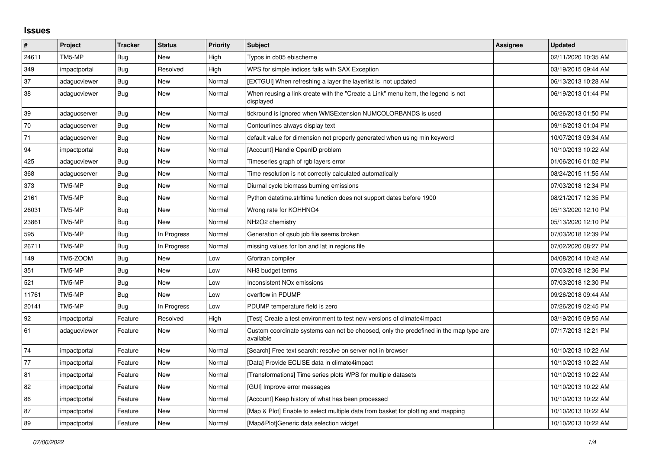## **Issues**

| #     | Project      | <b>Tracker</b> | <b>Status</b> | <b>Priority</b> | <b>Subject</b>                                                                                     | Assignee | <b>Updated</b>      |
|-------|--------------|----------------|---------------|-----------------|----------------------------------------------------------------------------------------------------|----------|---------------------|
| 24611 | TM5-MP       | Bug            | New           | High            | Typos in cb05 ebischeme                                                                            |          | 02/11/2020 10:35 AM |
| 349   | impactportal | Bug            | Resolved      | High            | WPS for simple indices fails with SAX Exception                                                    |          | 03/19/2015 09:44 AM |
| 37    | adagucviewer | Bug            | New           | Normal          | [EXTGUI] When refreshing a layer the layerlist is not updated                                      |          | 06/13/2013 10:28 AM |
| 38    | adagucviewer | Bug            | New           | Normal          | When reusing a link create with the "Create a Link" menu item, the legend is not<br>displayed      |          | 06/19/2013 01:44 PM |
| 39    | adagucserver | <b>Bug</b>     | New           | Normal          | tickround is ignored when WMSExtension NUMCOLORBANDS is used                                       |          | 06/26/2013 01:50 PM |
| 70    | adagucserver | <b>Bug</b>     | <b>New</b>    | Normal          | Contourlines always display text                                                                   |          | 09/16/2013 01:04 PM |
| 71    | adagucserver | Bug            | New           | Normal          | default value for dimension not properly generated when using min keyword                          |          | 10/07/2013 09:34 AM |
| 94    | impactportal | Bug            | <b>New</b>    | Normal          | [Account] Handle OpenID problem                                                                    |          | 10/10/2013 10:22 AM |
| 425   | adagucviewer | Bug            | New           | Normal          | Timeseries graph of rgb layers error                                                               |          | 01/06/2016 01:02 PM |
| 368   | adagucserver | Bug            | New           | Normal          | Time resolution is not correctly calculated automatically                                          |          | 08/24/2015 11:55 AM |
| 373   | TM5-MP       | Bug            | New           | Normal          | Diurnal cycle biomass burning emissions                                                            |          | 07/03/2018 12:34 PM |
| 2161  | TM5-MP       | <b>Bug</b>     | New           | Normal          | Python datetime.strftime function does not support dates before 1900                               |          | 08/21/2017 12:35 PM |
| 26031 | TM5-MP       | Bug            | New           | Normal          | Wrong rate for KOHHNO4                                                                             |          | 05/13/2020 12:10 PM |
| 23861 | TM5-MP       | Bug            | New           | Normal          | NH2O2 chemistry                                                                                    |          | 05/13/2020 12:10 PM |
| 595   | TM5-MP       | Bug            | In Progress   | Normal          | Generation of gsub job file seems broken                                                           |          | 07/03/2018 12:39 PM |
| 26711 | TM5-MP       | <b>Bug</b>     | In Progress   | Normal          | missing values for lon and lat in regions file                                                     |          | 07/02/2020 08:27 PM |
| 149   | TM5-ZOOM     | Bug            | <b>New</b>    | Low             | Gfortran compiler                                                                                  |          | 04/08/2014 10:42 AM |
| 351   | TM5-MP       | <b>Bug</b>     | New           | Low             | NH3 budget terms                                                                                   |          | 07/03/2018 12:36 PM |
| 521   | TM5-MP       | Bug            | New           | Low             | Inconsistent NO <sub>x</sub> emissions                                                             |          | 07/03/2018 12:30 PM |
| 11761 | TM5-MP       | Bug            | New           | Low             | overflow in PDUMP                                                                                  |          | 09/26/2018 09:44 AM |
| 20141 | TM5-MP       | Bug            | In Progress   | Low             | PDUMP temperature field is zero                                                                    |          | 07/26/2019 02:45 PM |
| 92    | impactportal | Feature        | Resolved      | High            | [Test] Create a test environment to test new versions of climate4impact                            |          | 03/19/2015 09:55 AM |
| 61    | adagucviewer | Feature        | New           | Normal          | Custom coordinate systems can not be choosed, only the predefined in the map type are<br>available |          | 07/17/2013 12:21 PM |
| 74    | impactportal | Feature        | New           | Normal          | [Search] Free text search: resolve on server not in browser                                        |          | 10/10/2013 10:22 AM |
| 77    | impactportal | Feature        | New           | Normal          | [Data] Provide ECLISE data in climate4impact                                                       |          | 10/10/2013 10:22 AM |
| 81    | impactportal | Feature        | New           | Normal          | [Transformations] Time series plots WPS for multiple datasets                                      |          | 10/10/2013 10:22 AM |
| 82    | impactportal | Feature        | New           | Normal          | [GUI] Improve error messages                                                                       |          | 10/10/2013 10:22 AM |
| 86    | impactportal | Feature        | New           | Normal          | [Account] Keep history of what has been processed                                                  |          | 10/10/2013 10:22 AM |
| 87    | impactportal | Feature        | <b>New</b>    | Normal          | [Map & Plot] Enable to select multiple data from basket for plotting and mapping                   |          | 10/10/2013 10:22 AM |
| 89    | impactportal | Feature        | <b>New</b>    | Normal          | [Map&Plot]Generic data selection widget                                                            |          | 10/10/2013 10:22 AM |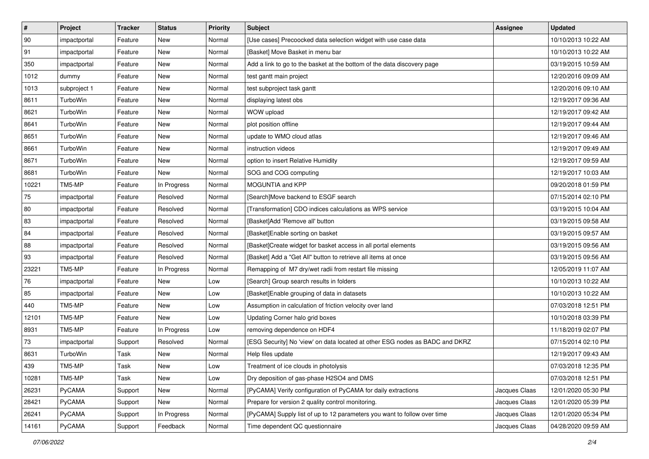| $\vert$ # | Project      | <b>Tracker</b> | <b>Status</b> | Priority | <b>Subject</b>                                                               | <b>Assignee</b> | <b>Updated</b>      |
|-----------|--------------|----------------|---------------|----------|------------------------------------------------------------------------------|-----------------|---------------------|
| 90        | impactportal | Feature        | New           | Normal   | [Use cases] Precoocked data selection widget with use case data              |                 | 10/10/2013 10:22 AM |
| 91        | impactportal | Feature        | <b>New</b>    | Normal   | [Basket] Move Basket in menu bar                                             |                 | 10/10/2013 10:22 AM |
| 350       | impactportal | Feature        | New           | Normal   | Add a link to go to the basket at the bottom of the data discovery page      |                 | 03/19/2015 10:59 AM |
| 1012      | dummy        | Feature        | <b>New</b>    | Normal   | test gantt main project                                                      |                 | 12/20/2016 09:09 AM |
| 1013      | subproject 1 | Feature        | <b>New</b>    | Normal   | test subproject task gantt                                                   |                 | 12/20/2016 09:10 AM |
| 8611      | TurboWin     | Feature        | <b>New</b>    | Normal   | displaying latest obs                                                        |                 | 12/19/2017 09:36 AM |
| 8621      | TurboWin     | Feature        | <b>New</b>    | Normal   | WOW upload                                                                   |                 | 12/19/2017 09:42 AM |
| 8641      | TurboWin     | Feature        | New           | Normal   | plot position offline                                                        |                 | 12/19/2017 09:44 AM |
| 8651      | TurboWin     | Feature        | New           | Normal   | update to WMO cloud atlas                                                    |                 | 12/19/2017 09:46 AM |
| 8661      | TurboWin     | Feature        | <b>New</b>    | Normal   | instruction videos                                                           |                 | 12/19/2017 09:49 AM |
| 8671      | TurboWin     | Feature        | <b>New</b>    | Normal   | option to insert Relative Humidity                                           |                 | 12/19/2017 09:59 AM |
| 8681      | TurboWin     | Feature        | New           | Normal   | SOG and COG computing                                                        |                 | 12/19/2017 10:03 AM |
| 10221     | TM5-MP       | Feature        | In Progress   | Normal   | MOGUNTIA and KPP                                                             |                 | 09/20/2018 01:59 PM |
| 75        | impactportal | Feature        | Resolved      | Normal   | [Search]Move backend to ESGF search                                          |                 | 07/15/2014 02:10 PM |
| 80        | impactportal | Feature        | Resolved      | Normal   | [Transformation] CDO indices calculations as WPS service                     |                 | 03/19/2015 10:04 AM |
| 83        | impactportal | Feature        | Resolved      | Normal   | [Basket]Add 'Remove all' button                                              |                 | 03/19/2015 09:58 AM |
| 84        | impactportal | Feature        | Resolved      | Normal   | [Basket]Enable sorting on basket                                             |                 | 03/19/2015 09:57 AM |
| 88        | impactportal | Feature        | Resolved      | Normal   | [Basket]Create widget for basket access in all portal elements               |                 | 03/19/2015 09:56 AM |
| 93        | impactportal | Feature        | Resolved      | Normal   | [Basket] Add a "Get All" button to retrieve all items at once                |                 | 03/19/2015 09:56 AM |
| 23221     | TM5-MP       | Feature        | In Progress   | Normal   | Remapping of M7 dry/wet radii from restart file missing                      |                 | 12/05/2019 11:07 AM |
| 76        | impactportal | Feature        | New           | Low      | [Search] Group search results in folders                                     |                 | 10/10/2013 10:22 AM |
| 85        | impactportal | Feature        | New           | Low      | [Basket]Enable grouping of data in datasets                                  |                 | 10/10/2013 10:22 AM |
| 440       | TM5-MP       | Feature        | <b>New</b>    | Low      | Assumption in calculation of friction velocity over land                     |                 | 07/03/2018 12:51 PM |
| 12101     | TM5-MP       | Feature        | New           | Low      | Updating Corner halo grid boxes                                              |                 | 10/10/2018 03:39 PM |
| 8931      | TM5-MP       | Feature        | In Progress   | Low      | removing dependence on HDF4                                                  |                 | 11/18/2019 02:07 PM |
| 73        | impactportal | Support        | Resolved      | Normal   | [ESG Security] No 'view' on data located at other ESG nodes as BADC and DKRZ |                 | 07/15/2014 02:10 PM |
| 8631      | TurboWin     | Task           | New           | Normal   | Help files update                                                            |                 | 12/19/2017 09:43 AM |
| 439       | TM5-MP       | Task           | New           | Low      | Treatment of ice clouds in photolysis                                        |                 | 07/03/2018 12:35 PM |
| 10281     | TM5-MP       | Task           | New           | Low      | Dry deposition of gas-phase H2SO4 and DMS                                    |                 | 07/03/2018 12:51 PM |
| 26231     | PyCAMA       | Support        | New           | Normal   | [PyCAMA] Verify configuration of PyCAMA for daily extractions                | Jacques Claas   | 12/01/2020 05:30 PM |
| 28421     | PyCAMA       | Support        | New           | Normal   | Prepare for version 2 quality control monitoring.                            | Jacques Claas   | 12/01/2020 05:39 PM |
| 26241     | PyCAMA       | Support        | In Progress   | Normal   | [PyCAMA] Supply list of up to 12 parameters you want to follow over time     | Jacques Claas   | 12/01/2020 05:34 PM |
| 14161     | PyCAMA       | Support        | Feedback      | Normal   | Time dependent QC questionnaire                                              | Jacques Claas   | 04/28/2020 09:59 AM |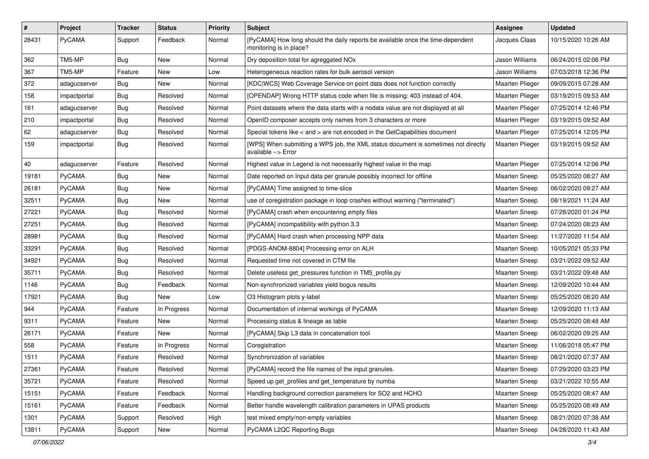| $\pmb{\#}$   | Project       | <b>Tracker</b> | <b>Status</b> | <b>Priority</b> | <b>Subject</b>                                                                                             | Assignee             | <b>Updated</b>      |
|--------------|---------------|----------------|---------------|-----------------|------------------------------------------------------------------------------------------------------------|----------------------|---------------------|
| 28431        | PyCAMA        | Support        | Feedback      | Normal          | [PyCAMA] How long should the daily reports be available once the time-dependent<br>monitoring is in place? | Jacques Claas        | 10/15/2020 10:26 AM |
| 362          | TM5-MP        | <b>Bug</b>     | New           | Normal          | Dry deposition total for agreggated NOx                                                                    | Jason Williams       | 06/24/2015 02:06 PM |
| 367          | TM5-MP        | Feature        | New           | Low             | Heterogeneous reaction rates for bulk aerosol version                                                      | Jason Williams       | 07/03/2018 12:36 PM |
| 372          | adagucserver  | <b>Bug</b>     | <b>New</b>    | Normal          | [KDC WCS] Web Coverage Service on point data does not function correctly                                   | Maarten Plieger      | 09/09/2015 07:28 AM |
| 158          | impactportal  | Bug            | Resolved      | Normal          | [OPENDAP] Wrong HTTP status code when file is missing: 403 instead of 404.                                 | Maarten Plieger      | 03/19/2015 09:53 AM |
| 161          | adagucserver  | <b>Bug</b>     | Resolved      | Normal          | Point datasets where the data starts with a nodata value are not displayed at all                          | Maarten Plieger      | 07/25/2014 12:46 PM |
| 210          | impactportal  | Bug            | Resolved      | Normal          | OpenID composer accepts only names from 3 characters or more                                               | Maarten Plieger      | 03/19/2015 09:52 AM |
| 62           | adagucserver  | <b>Bug</b>     | Resolved      | Normal          | Special tokens like < and > are not encoded in the GetCapabilities document                                | Maarten Plieger      | 07/25/2014 12:05 PM |
| 159          | impactportal  | <b>Bug</b>     | Resolved      | Normal          | [WPS] When submitting a WPS job, the XML status document is sometimes not directly<br>available --> Error  | Maarten Plieger      | 03/19/2015 09:52 AM |
| $ 40\rangle$ | adagucserver  | Feature        | Resolved      | Normal          | Highest value in Legend is not necessarily highest value in the map                                        | Maarten Plieger      | 07/25/2014 12:06 PM |
| 19181        | PyCAMA        | <b>Bug</b>     | New           | Normal          | Date reported on Input data per granule possibly incorrect for offline                                     | Maarten Sneep        | 05/25/2020 08:27 AM |
| 26181        | PyCAMA        | <b>Bug</b>     | New           | Normal          | [PyCAMA] Time assigned to time-slice                                                                       | <b>Maarten Sneep</b> | 06/02/2020 09:27 AM |
| 32511        | PyCAMA        | Bug            | New           | Normal          | use of coregistration package in loop crashes without warning ("terminated")                               | <b>Maarten Sneep</b> | 08/19/2021 11:24 AM |
| 27221        | PyCAMA        | <b>Bug</b>     | Resolved      | Normal          | [PyCAMA] crash when encountering empty files                                                               | <b>Maarten Sneep</b> | 07/28/2020 01:24 PM |
| 27251        | PyCAMA        | <b>Bug</b>     | Resolved      | Normal          | [PyCAMA] incompatibility with python 3.3                                                                   | Maarten Sneep        | 07/24/2020 08:23 AM |
| 28981        | PyCAMA        | Bug            | Resolved      | Normal          | [PyCAMA] Hard crash when processing NPP data                                                               | Maarten Sneep        | 11/27/2020 11:54 AM |
| 33291        | PyCAMA        | <b>Bug</b>     | Resolved      | Normal          | [PDGS-ANOM-8804] Processing error on ALH                                                                   | <b>Maarten Sneep</b> | 10/05/2021 05:33 PM |
| 34921        | PyCAMA        | <b>Bug</b>     | Resolved      | Normal          | Requested time not covered in CTM file                                                                     | <b>Maarten Sneep</b> | 03/21/2022 09:52 AM |
| 35711        | PyCAMA        | <b>Bug</b>     | Resolved      | Normal          | Delete useless get pressures function in TM5 profile.py                                                    | <b>Maarten Sneep</b> | 03/21/2022 09:48 AM |
| 1146         | PyCAMA        | <b>Bug</b>     | Feedback      | Normal          | Non-synchronized variables yield bogus results                                                             | Maarten Sneep        | 12/09/2020 10:44 AM |
| 17921        | PyCAMA        | Bug            | New           | Low             | O3 Histogram plots y-label                                                                                 | Maarten Sneep        | 05/25/2020 08:20 AM |
| 944          | <b>PyCAMA</b> | Feature        | In Progress   | Normal          | Documentation of internal workings of PyCAMA                                                               | <b>Maarten Sneep</b> | 12/09/2020 11:13 AM |
| 9311         | PyCAMA        | Feature        | New           | Normal          | Processing status & lineage as table                                                                       | <b>Maarten Sneep</b> | 05/25/2020 08:48 AM |
| 26171        | PyCAMA        | Feature        | New           | Normal          | [PyCAMA] Skip L3 data in concatenation tool                                                                | Maarten Sneep        | 06/02/2020 09:25 AM |
| 558          | PyCAMA        | Feature        | In Progress   | Normal          | Coregistration                                                                                             | <b>Maarten Sneep</b> | 11/06/2018 05:47 PM |
| 1511         | <b>PyCAMA</b> | Feature        | Resolved      | Normal          | Synchronization of variables                                                                               | <b>Maarten Sneep</b> | 08/21/2020 07:37 AM |
| 27361        | PyCAMA        | Feature        | Resolved      | Normal          | [PyCAMA] record the file names of the input granules.                                                      | Maarten Sneep        | 07/29/2020 03:23 PM |
| 35721        | PyCAMA        | Feature        | Resolved      | Normal          | Speed up get profiles and get temperature by numba                                                         | Maarten Sneep        | 03/21/2022 10:55 AM |
| 15151        | PyCAMA        | Feature        | Feedback      | Normal          | Handling background correction parameters for SO2 and HCHO                                                 | Maarten Sneep        | 05/25/2020 08:47 AM |
| 15161        | PyCAMA        | Feature        | Feedback      | Normal          | Better handle wavelength calibration parameters in UPAS products                                           | Maarten Sneep        | 05/25/2020 08:49 AM |
| 1301         | PyCAMA        | Support        | Resolved      | High            | test mixed empty/non-empty variables                                                                       | Maarten Sneep        | 08/21/2020 07:38 AM |
| 13811        | PyCAMA        | Support        | New           | Normal          | PyCAMA L2QC Reporting Bugs                                                                                 | Maarten Sneep        | 04/28/2020 11:43 AM |